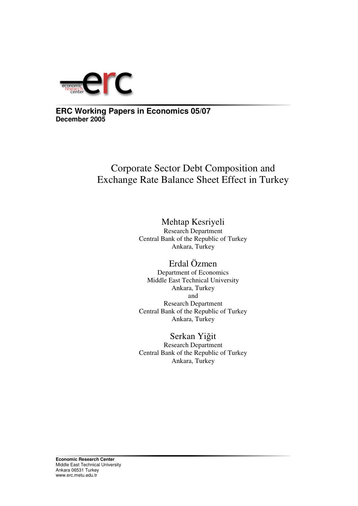

# **ERC Working Papers in Economics 05/07 December 2005**

# Corporate Sector Debt Composition and Exchange Rate Balance Sheet Effect in Turkey

# Mehtap Kesriyeli

Research Department Central Bank of the Republic of Turkey Ankara, Turkey

# Erdal Özmen

Department of Economics Middle East Technical University Ankara, Turkey and Research Department Central Bank of the Republic of Turkey Ankara, Turkey

# Serkan Yiğit

Research Department Central Bank of the Republic of Turkey Ankara, Turkey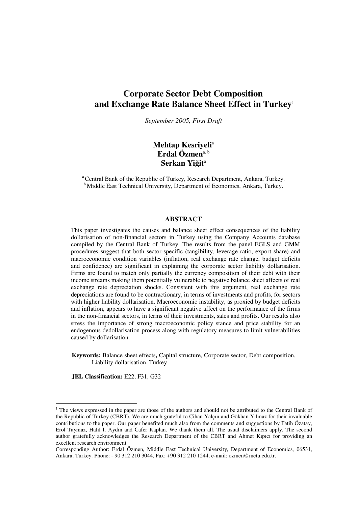# **Corporate Sector Debt Composition and Exchange Rate Balance Sheet Effect in Turkey** 1

*September 2005, First Draft*

## **Mehtap Kesriyeli** a **Erdal Özmen** a, b **Serkan Yiit** a

<sup>a</sup> Central Bank of the Republic of Turkey, Research Department, Ankara, Turkey. <sup>b</sup> Middle East Technical University, Department of Economics, Ankara, Turkey.

### **ABSTRACT**

This paper investigates the causes and balance sheet effect consequences of the liability dollarisation of non-financial sectors in Turkey using the Company Accounts database compiled by the Central Bank of Turkey. The results from the panel EGLS and GMM procedures suggest that both sector-specific (tangibility, leverage ratio, export share) and macroeconomic condition variables (inflation, real exchange rate change, budget deficits and confidence) are significant in explaining the corporate sector liability dollarisation. Firms are found to match only partially the currency composition of their debt with their income streams making them potentially vulnerable to negative balance sheet affects of real exchange rate depreciation shocks. Consistent with this argument, real exchange rate depreciations are found to be contractionary, in terms of investments and profits, for sectors with higher liability dollarisation. Macroeconomic instability, as proxied by budget deficits and inflation, appears to have a significant negative affect on the performance of the firms in the non-financial sectors, in terms of their investments, sales and profits. Our results also stress the importance of strong macroeconomic policy stance and price stability for an endogenous dedollarisation process along with regulatory measures to limit vulnerabilities caused by dollarisation.

**Keywords:** Balance sheet effects**,** Capital structure, Corporate sector, Debt composition, Liability dollarisation, Turkey

**JEL Classification:** E22, F31, G32

<sup>1</sup> The views expressed in the paper are those of the authors and should not be attributed to the Central Bank of the Republic of Turkey (CBRT). We are much grateful to Cihan Yalçın and Gökhan Yılmaz for their invaluable contributions to the paper. Our paper benefited much also from the comments and suggestions by Fatih Özatay, Erol Taymaz, Halil I. Aydın and Cafer Kaplan. We thank them all. The usual disclaimers apply. The second author gratefully acknowledges the Research Department of the CBRT and Ahmet Kıpıcı for providing an excellent research environment.

Corresponding Author: Erdal Özmen, Middle East Technical University, Department of Economics, 06531, Ankara, Turkey. Phone: +90 312 210 3044, Fax: +90 312 210 1244, e-mail: ozmen@metu.edu.tr.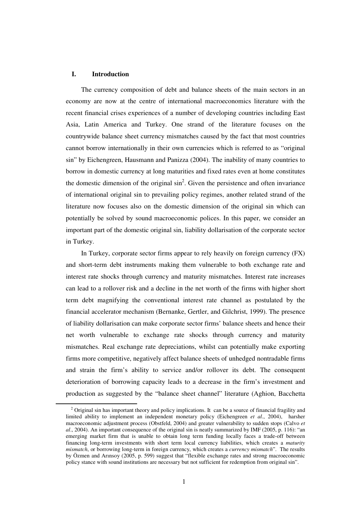### **I. Introduction**

The currency composition of debt and balance sheets of the main sectors in an economy are now at the centre of international macroeconomics literature with the recent financial crises experiences of a number of developing countries including East Asia, Latin America and Turkey. One strand of the literature focuses on the countrywide balance sheet currency mismatches caused by the fact that most countries cannot borrow internationally in their own currencies which is referred to as "original sin" by Eichengreen, Hausmann and Panizza (2004). The inability of many countries to borrow in domestic currency at long maturities and fixed rates even at home constitutes the domestic dimension of the original  $\sin^2$ . Given the persistence and often invariance of international original sin to prevailing policy regimes, another related strand of the literature now focuses also on the domestic dimension of the original sin which can potentially be solved by sound macroeconomic polices. In this paper, we consider an important part of the domestic original sin, liability dollarisation of the corporate sector in Turkey.

In Turkey, corporate sector firms appear to rely heavily on foreign currency (FX) and short-term debt instruments making them vulnerable to both exchange rate and interest rate shocks through currency and maturity mismatches. Interest rate increases can lead to a rollover risk and a decline in the net worth of the firms with higher short term debt magnifying the conventional interest rate channel as postulated by the financial accelerator mechanism (Bernanke, Gertler, and Gilchrist, 1999). The presence of liability dollarisation can make corporate sector firms' balance sheets and hence their net worth vulnerable to exchange rate shocks through currency and maturity mismatches. Real exchange rate depreciations, whilst can potentially make exporting firms more competitive, negatively affect balance sheets of unhedged nontradable firms and strain the firm's ability to service and/or rollover its debt. The consequent deterioration of borrowing capacity leads to a decrease in the firm's investment and production as suggested by the "balance sheet channel" literature (Aghion, Bacchetta

 $2$  Original sin has important theory and policy implications. It can be a source of financial fragility and limited ability to implement an independent monetary policy (Eichengreen *et al*., 2004), harsher macroeconomic adjustment process (Obstfeld, 2004) and greater vulnerability to sudden stops (Calvo *et al*., 2004). An important consequence of the original sin is neatly summarized by IMF (2005, p. 116): "an emerging market firm that is unable to obtain long term funding locally faces a trade-off between financing long-term investments with short term local currency liabilities, which creates a *maturity mismatch*, or borrowing long-term in foreign currency, which creates a *currency mismatch*". The results by Özmen and Arınsoy (2005, p. 599) suggest that "flexible exchange rates and strong macroeconomic policy stance with sound institutions are necessary but not sufficient for redemption from original sin".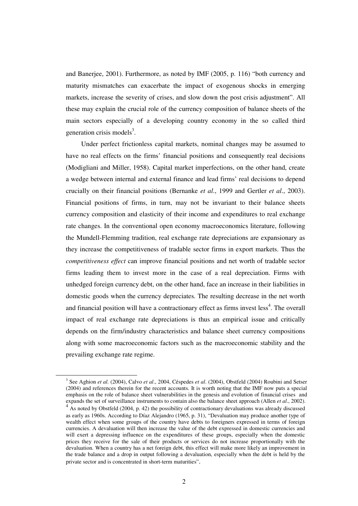and Banerjee, 2001). Furthermore, as noted by IMF (2005, p. 116) "both currency and maturity mismatches can exacerbate the impact of exogenous shocks in emerging markets, increase the severity of crises, and slow down the post crisis adjustment". All these may explain the crucial role of the currency composition of balance sheets of the main sectors especially of a developing country economy in the so called third generation crisis models<sup>3</sup>.

Under perfect frictionless capital markets, nominal changes may be assumed to have no real effects on the firms' financial positions and consequently real decisions (Modigliani and Miller, 1958). Capital market imperfections, on the other hand, create a wedge between internal and external finance and lead firms' real decisions to depend crucially on their financial positions (Bernanke *et al*., 1999 and Gertler *et al*., 2003). Financial positions of firms, in turn, may not be invariant to their balance sheets currency composition and elasticity of their income and expenditures to real exchange rate changes. In the conventional open economy macroeconomics literature, following the Mundell-Flemming tradition, real exchange rate depreciations are expansionary as they increase the competitiveness of tradable sector firms in export markets. Thus the *competitiveness effect* can improve financial positions and net worth of tradable sector firms leading them to invest more in the case of a real depreciation. Firms with unhedged foreign currency debt, on the other hand, face an increase in their liabilities in domestic goods when the currency depreciates. The resulting decrease in the net worth and financial position will have a contractionary effect as firms invest less<sup>4</sup>. The overall impact of real exchange rate depreciations is thus an empirical issue and critically depends on the firm/industry characteristics and balance sheet currency compositions along with some macroeconomic factors such as the macroeconomic stability and the prevailing exchange rate regime.

<sup>3</sup> See Aghion *et al.* (2004), Calvo *et al*., 2004, Céspedes *et al*. (2004), Obstfeld (2004) Roubini and Setser (2004) and references therein for the recent accounts. It is worth noting that the IMF now puts a special emphasis on the role of balance sheet vulnerabilities in the genesis and evolution of financial crises and expands the set of surveillance instruments to contain also the balance sheet approach (Allen *et al*., 2002).

<sup>&</sup>lt;sup>4</sup> As noted by Obstfeld (2004, p. 42) the possibility of contractionary devaluations was already discussed as early as 1960s. According to Díaz Alejandro (1965, p. 31), "Devaluation may produce another type of wealth effect when some groups of the country have debts to foreigners expressed in terms of foreign currencies. A devaluation will then increase the value of the debt expressed in domestic currencies and will exert a depressing influence on the expenditures of these groups, especially when the domestic prices they receive for the sale of their products or services do not increase proportionally with the devaluation. When a country has a net foreign debt, this effect will make more likely an improvement in the trade balance and a drop in output following a devaluation, especially when the debt is held by the private sector and is concentrated in short-term maturities".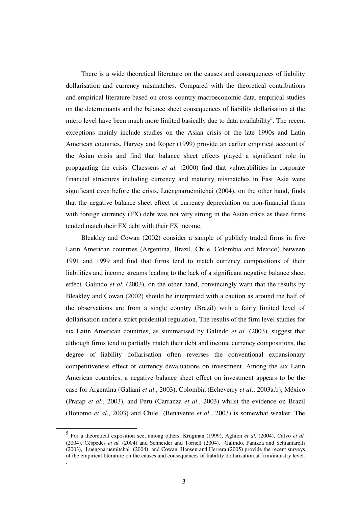There is a wide theoretical literature on the causes and consequences of liability dollarisation and currency mismatches. Compared with the theoretical contributions and empirical literature based on cross-country macroeconomic data, empirical studies on the determinants and the balance sheet consequences of liability dollarisation at the micro level have been much more limited basically due to data availability<sup>5</sup>. The recent exceptions mainly include studies on the Asian crisis of the late 1990s and Latin American countries. Harvey and Roper (1999) provide an earlier empirical account of the Asian crisis and find that balance sheet effects played a significant role in propagating the crisis. Claessens *et al.* (2000) find that vulnerabilities in corporate financial structures including currency and maturity mismatches in East Asia were significant even before the crisis. Luengnaruemitchai (2004), on the other hand, finds that the negative balance sheet effect of currency depreciation on non-financial firms with foreign currency (FX) debt was not very strong in the Asian crisis as these firms tended match their FX debt with their FX income.

Bleakley and Cowan (2002) consider a sample of publicly traded firms in five Latin American countries (Argentina, Brazil, Chile, Colombia and Mexico) between 1991 and 1999 and find that firms tend to match currency compositions of their liabilities and income streams leading to the lack of a significant negative balance sheet effect. Galindo *et al.* (2003), on the other hand, convincingly warn that the results by Bleakley and Cowan (2002) should be interpreted with a caution as around the half of the observations are from a single country (Brazil) with a fairly limited level of dollarisation under a strict prudential regulation. The results of the firm level studies for six Latin American countries, as summarised by Galindo *et al.* (2003), suggest that although firms tend to partially match their debt and income currency compositions, the degree of liability dollarisation often reverses the conventional expansionary competitiveness effect of currency devaluations on investment. Among the six Latin American countries, a negative balance sheet effect on investment appears to be the case for Argentina (Galiani *et al*., 2003), Colombia (Echeverry *et al*., 2003a,b), México (Pratap *et al*., 2003), and Peru (Carranza *et al*., 2003) whilst the evidence on Brazil (Bonomo *et al*., 2003) and Chile (Benavente *et al*., 2003) is somewhat weaker. The

.

<sup>5</sup> For a theoretical exposition see, among others, Krugman (1999), Aghion *et al.* (2004), Calvo *et al.* (2004), Céspedes *et al.* (2004) and Schneider and Tornell (2004). Galindo, Panizza and Schiantarelli (2003), Luengnaruemitchai (2004) and Cowan, Hansen and Herrera (2005) provide the recent surveys of the empirical literature on the causes and consequences of liability dollarisation at firm/industry level.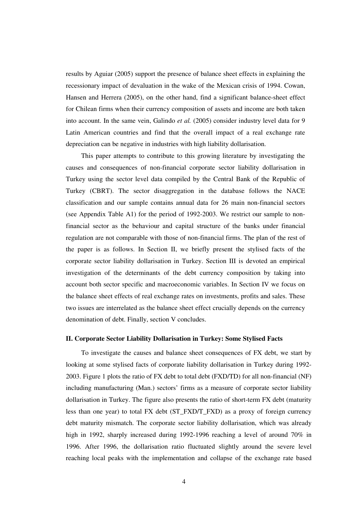results by Aguiar (2005) support the presence of balance sheet effects in explaining the recessionary impact of devaluation in the wake of the Mexican crisis of 1994. Cowan, Hansen and Herrera (2005), on the other hand, find a significant balance-sheet effect for Chilean firms when their currency composition of assets and income are both taken into account. In the same vein, Galindo *et al.* (2005) consider industry level data for 9 Latin American countries and find that the overall impact of a real exchange rate depreciation can be negative in industries with high liability dollarisation.

This paper attempts to contribute to this growing literature by investigating the causes and consequences of non-financial corporate sector liability dollarisation in Turkey using the sector level data compiled by the Central Bank of the Republic of Turkey (CBRT). The sector disaggregation in the database follows the NACE classification and our sample contains annual data for 26 main non-financial sectors (see Appendix Table A1) for the period of 1992-2003. We restrict our sample to nonfinancial sector as the behaviour and capital structure of the banks under financial regulation are not comparable with those of non-financial firms. The plan of the rest of the paper is as follows. In Section II, we briefly present the stylised facts of the corporate sector liability dollarisation in Turkey. Section III is devoted an empirical investigation of the determinants of the debt currency composition by taking into account both sector specific and macroeconomic variables. In Section IV we focus on the balance sheet effects of real exchange rates on investments, profits and sales. These two issues are interrelated as the balance sheet effect crucially depends on the currency denomination of debt. Finally, section V concludes.

### **II. Corporate Sector Liability Dollarisation in Turkey: Some Stylised Facts**

To investigate the causes and balance sheet consequences of FX debt, we start by looking at some stylised facts of corporate liability dollarisation in Turkey during 1992- 2003. Figure 1 plots the ratio of FX debt to total debt (FXD/TD) for all non-financial (NF) including manufacturing (Man.) sectors' firms as a measure of corporate sector liability dollarisation in Turkey. The figure also presents the ratio of short-term FX debt (maturity less than one year) to total FX debt (ST\_FXD/T\_FXD) as a proxy of foreign currency debt maturity mismatch. The corporate sector liability dollarisation, which was already high in 1992, sharply increased during 1992-1996 reaching a level of around 70% in 1996. After 1996, the dollarisation ratio fluctuated slightly around the severe level reaching local peaks with the implementation and collapse of the exchange rate based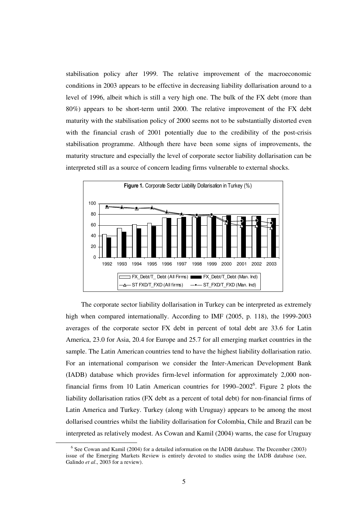stabilisation policy after 1999. The relative improvement of the macroeconomic conditions in 2003 appears to be effective in decreasing liability dollarisation around to a level of 1996, albeit which is still a very high one. The bulk of the FX debt (more than 80%) appears to be short-term until 2000. The relative improvement of the FX debt maturity with the stabilisation policy of 2000 seems not to be substantially distorted even with the financial crash of 2001 potentially due to the credibility of the post-crisis stabilisation programme. Although there have been some signs of improvements, the maturity structure and especially the level of corporate sector liability dollarisation can be interpreted still as a source of concern leading firms vulnerable to external shocks.



The corporate sector liability dollarisation in Turkey can be interpreted as extremely high when compared internationally. According to IMF (2005, p. 118), the 1999-2003 averages of the corporate sector FX debt in percent of total debt are 33.6 for Latin America, 23.0 for Asia, 20.4 for Europe and 25.7 for all emerging market countries in the sample. The Latin American countries tend to have the highest liability dollarisation ratio. For an international comparison we consider the Inter-American Development Bank (IADB) database which provides firm-level information for approximately 2,000 nonfinancial firms from 10 Latin American countries for 1990–2002<sup>6</sup>. Figure 2 plots the liability dollarisation ratios (FX debt as a percent of total debt) for non-financial firms of Latin America and Turkey. Turkey (along with Uruguay) appears to be among the most dollarised countries whilst the liability dollarisation for Colombia, Chile and Brazil can be interpreted as relatively modest. As Cowan and Kamil (2004) warns, the case for Uruguay

<sup>&</sup>lt;sup>6</sup> See Cowan and Kamil (2004) for a detailed information on the IADB database. The December (2003) issue of the Emerging Markets Review is entirely devoted to studies using the IADB database (see, Galindo *et al*., 2003 for a review).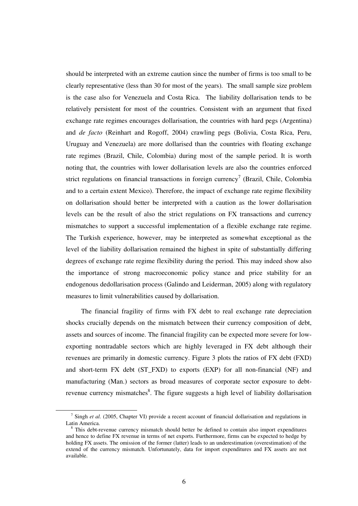should be interpreted with an extreme caution since the number of firms is too small to be clearly representative (less than 30 for most of the years). The small sample size problem is the case also for Venezuela and Costa Rica. The liability dollarisation tends to be relatively persistent for most of the countries. Consistent with an argument that fixed exchange rate regimes encourages dollarisation, the countries with hard pegs (Argentina) and *de facto* (Reinhart and Rogoff, 2004) crawling pegs (Bolivia, Costa Rica, Peru, Uruguay and Venezuela) are more dollarised than the countries with floating exchange rate regimes (Brazil, Chile, Colombia) during most of the sample period. It is worth noting that, the countries with lower dollarisation levels are also the countries enforced strict regulations on financial transactions in foreign currency<sup>7</sup> (Brazil, Chile, Colombia and to a certain extent Mexico). Therefore, the impact of exchange rate regime flexibility on dollarisation should better be interpreted with a caution as the lower dollarisation levels can be the result of also the strict regulations on FX transactions and currency mismatches to support a successful implementation of a flexible exchange rate regime. The Turkish experience, however, may be interpreted as somewhat exceptional as the level of the liability dollarisation remained the highest in spite of substantially differing degrees of exchange rate regime flexibility during the period. This may indeed show also the importance of strong macroeconomic policy stance and price stability for an endogenous dedollarisation process (Galindo and Leiderman, 2005) along with regulatory measures to limit vulnerabilities caused by dollarisation.

The financial fragility of firms with FX debt to real exchange rate depreciation shocks crucially depends on the mismatch between their currency composition of debt, assets and sources of income. The financial fragility can be expected more severe for lowexporting nontradable sectors which are highly leveraged in FX debt although their revenues are primarily in domestic currency. Figure 3 plots the ratios of FX debt (FXD) and short-term FX debt (ST\_FXD) to exports (EXP) for all non-financial (NF) and manufacturing (Man.) sectors as broad measures of corporate sector exposure to debtrevenue currency mismatches<sup>8</sup>. The figure suggests a high level of liability dollarisation

<sup>&</sup>lt;sup>7</sup> Singh *et al.* (2005, Chapter VI) provide a recent account of financial dollarisation and regulations in Latin America.

<sup>&</sup>lt;sup>8</sup> This debt-revenue currency mismatch should better be defined to contain also import expenditures and hence to define FX revenue in terms of net exports. Furthermore, firms can be expected to hedge by holding FX assets. The omission of the former (latter) leads to an underestimation (overestimation) of the extend of the currency mismatch. Unfortunately, data for import expenditures and FX assets are not available.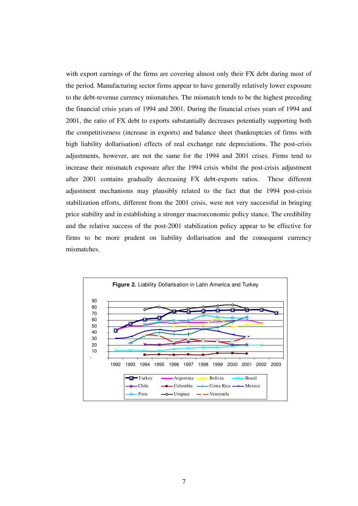with export earnings of the firms are covering almost only their FX debt during most of the period. Manufacturing sector firms appear to have generally relatively lower exposure to the debt-revenue currency mismatches. The mismatch tends to be the highest preceding the financial crisis years of 1994 and 2001. During the financial crises years of 1994 and 2001, the ratio of FX debt to exports substantially decreases potentially supporting both the competitiveness (increase in exports) and balance sheet (bankruptcies of firms with high liability dollarisation) effects of real exchange rate depreciations. The post-crisis adjustments, however, are not the same for the 1994 and 2001 crises. Firms tend to increase their mismatch exposure after the 1994 crisis whilst the post-crisis adjustment after 2001 contains gradually decreasing FX debt-exports ratios. These different adjustment mechanisms may plausibly related to the fact that the 1994 post-crisis stabilization efforts, different from the 2001 crisis, were not very successful in bringing price stability and in establishing a stronger macroeconomic policy stance. The credibility and the relative success of the post-2001 stabilization policy appear to be effective for firms to be more prudent on liability dollarisation and the consequent currency mismatches.

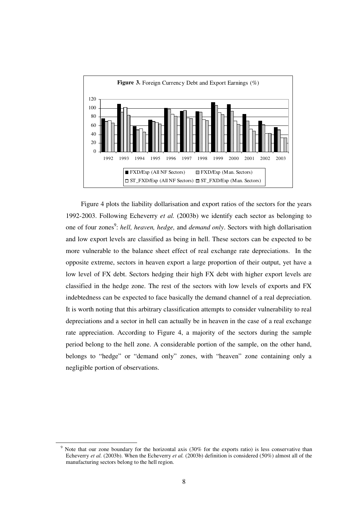

Figure 4 plots the liability dollarisation and export ratios of the sectors for the years 1992-2003. Following Echeverry *et al.* (2003b) we identify each sector as belonging to one of four zones 9 : *hell, heaven, hedge,* and *demand only*. Sectors with high dollarisation and low export levels are classified as being in hell. These sectors can be expected to be more vulnerable to the balance sheet effect of real exchange rate depreciations. In the opposite extreme, sectors in heaven export a large proportion of their output, yet have a low level of FX debt. Sectors hedging their high FX debt with higher export levels are classified in the hedge zone. The rest of the sectors with low levels of exports and FX indebtedness can be expected to face basically the demand channel of a real depreciation. It is worth noting that this arbitrary classification attempts to consider vulnerability to real depreciations and a sector in hell can actually be in heaven in the case of a real exchange rate appreciation. According to Figure 4, a majority of the sectors during the sample period belong to the hell zone. A considerable portion of the sample, on the other hand, belongs to "hedge" or "demand only" zones, with "heaven" zone containing only a negligible portion of observations.

<sup>9</sup> Note that our zone boundary for the horizontal axis (30% for the exports ratio) is less conservative than Echeverry *et al.* (2003b). When the Echeverry *et al.* (2003b) definition is considered (50%) almost all of the manufacturing sectors belong to the hell region.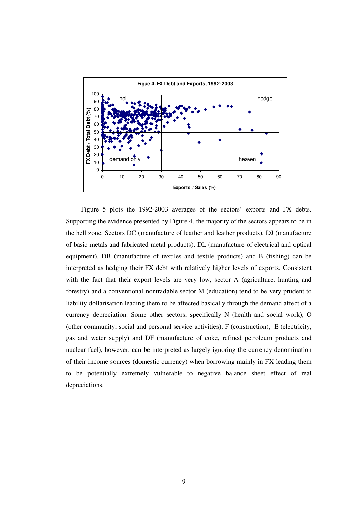

Figure 5 plots the 1992-2003 averages of the sectors' exports and FX debts. Supporting the evidence presented by Figure 4, the majority of the sectors appears to be in the hell zone. Sectors DC (manufacture of leather and leather products), DJ (manufacture of basic metals and fabricated metal products), DL (manufacture of electrical and optical equipment), DB (manufacture of textiles and textile products) and B (fishing) can be interpreted as hedging their FX debt with relatively higher levels of exports. Consistent with the fact that their export levels are very low, sector A (agriculture, hunting and forestry) and a conventional nontradable sector M (education) tend to be very prudent to liability dollarisation leading them to be affected basically through the demand affect of a currency depreciation. Some other sectors, specifically N (health and social work), O (other community, social and personal service activities), F (construction), E (electricity, gas and water supply) and DF (manufacture of coke, refined petroleum products and nuclear fuel), however, can be interpreted as largely ignoring the currency denomination of their income sources (domestic currency) when borrowing mainly in FX leading them to be potentially extremely vulnerable to negative balance sheet effect of real depreciations.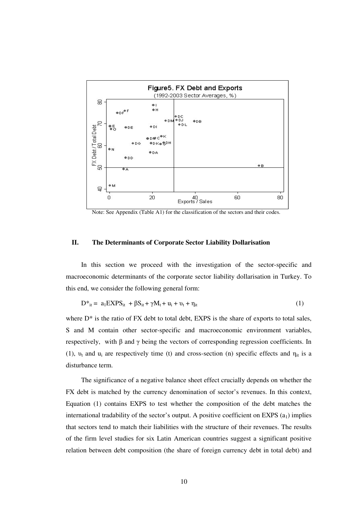

Note: See Appendix (Table A1) for the classification of the sectors and their codes.

### **II. The Determinants of Corporate Sector Liability Dollarisation**

In this section we proceed with the investigation of the sector-specific and macroeconomic determinants of the corporate sector liability dollarisation in Turkey. To this end, we consider the following general form:

$$
D^*_{it} = a_1 EXPS_{it} + \beta S_{it} + \gamma M_t + u_i + v_t + \eta_{it}
$$
\n
$$
\tag{1}
$$

where  $D^*$  is the ratio of  $FX$  debt to total debt,  $EXPS$  is the share of exports to total sales, S and M contain other sector-specific and macroeconomic environment variables, respectively, with  $\beta$  and  $\gamma$  being the vectors of corresponding regression coefficients. In (1),  $v_t$  and  $u_i$  are respectively time (t) and cross-section (n) specific effects and  $\eta_{it}$  is a disturbance term.

The significance of a negative balance sheet effect crucially depends on whether the FX debt is matched by the currency denomination of sector's revenues. In this context, Equation (1) contains EXPS to test whether the composition of the debt matches the international tradability of the sector's output. A positive coefficient on EXPS  $(a<sub>1</sub>)$  implies that sectors tend to match their liabilities with the structure of their revenues. The results of the firm level studies for six Latin American countries suggest a significant positive relation between debt composition (the share of foreign currency debt in total debt) and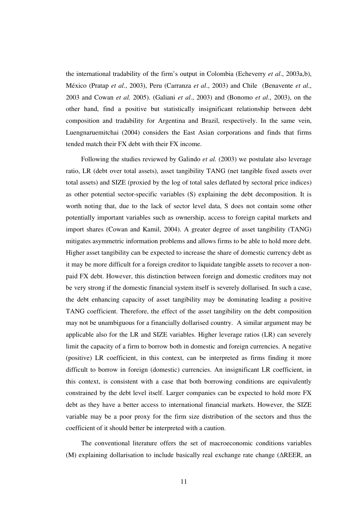the international tradability of the firm's output in Colombia (Echeverry *et al*., 2003a,b), México (Pratap *et al*., 2003), Peru (Carranza *et al*., 2003) and Chile (Benavente *et al*., 2003 and Cowan *et al.* 2005). (Galiani *et al*., 2003) and (Bonomo *et al*., 2003), on the other hand, find a positive but statistically insignificant relationship between debt composition and tradability for Argentina and Brazil, respectively. In the same vein, Luengnaruemitchai (2004) considers the East Asian corporations and finds that firms tended match their FX debt with their FX income.

Following the studies reviewed by Galindo *et al.* (2003) we postulate also leverage ratio, LR (debt over total assets), asset tangibility TANG (net tangible fixed assets over total assets) and SIZE (proxied by the log of total sales deflated by sectoral price indices) as other potential sector-specific variables (S) explaining the debt decomposition. It is worth noting that, due to the lack of sector level data, S does not contain some other potentially important variables such as ownership, access to foreign capital markets and import shares (Cowan and Kamil, 2004). A greater degree of asset tangibility (TANG) mitigates asymmetric information problems and allows firms to be able to hold more debt. Higher asset tangibility can be expected to increase the share of domestic currency debt as it may be more difficult for a foreign creditor to liquidate tangible assets to recover a nonpaid FX debt. However, this distinction between foreign and domestic creditors may not be very strong if the domestic financial system itself is severely dollarised. In such a case, the debt enhancing capacity of asset tangibility may be dominating leading a positive TANG coefficient. Therefore, the effect of the asset tangibility on the debt composition may not be unambiguous for a financially dollarised country. A similar argument may be applicable also for the LR and SIZE variables. Higher leverage ratios (LR) can severely limit the capacity of a firm to borrow both in domestic and foreign currencies. A negative (positive) LR coefficient, in this context, can be interpreted as firms finding it more difficult to borrow in foreign (domestic) currencies. An insignificant LR coefficient, in this context, is consistent with a case that both borrowing conditions are equivalently constrained by the debt level itself. Larger companies can be expected to hold more FX debt as they have a better access to international financial markets. However, the SIZE variable may be a poor proxy for the firm size distribution of the sectors and thus the coefficient of it should better be interpreted with a caution.

The conventional literature offers the set of macroeconomic conditions variables  $(M)$  explaining dollarisation to include basically real exchange rate change  $(\triangle REER)$ , an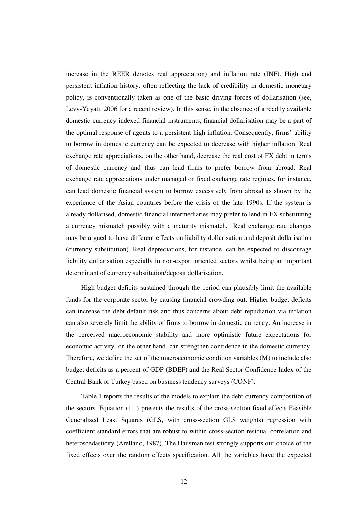increase in the REER denotes real appreciation) and inflation rate (INF). High and persistent inflation history, often reflecting the lack of credibility in domestic monetary policy, is conventionally taken as one of the basic driving forces of dollarisation (see, Levy-Yeyati, 2006 for a recent review). In this sense, in the absence of a readily available domestic currency indexed financial instruments, financial dollarisation may be a part of the optimal response of agents to a persistent high inflation. Consequently, firms' ability to borrow in domestic currency can be expected to decrease with higher inflation. Real exchange rate appreciations, on the other hand, decrease the real cost of FX debt in terms of domestic currency and thus can lead firms to prefer borrow from abroad. Real exchange rate appreciations under managed or fixed exchange rate regimes, for instance, can lead domestic financial system to borrow excessively from abroad as shown by the experience of the Asian countries before the crisis of the late 1990s. If the system is already dollarised, domestic financial intermediaries may prefer to lend in FX substituting a currency mismatch possibly with a maturity mismatch. Real exchange rate changes may be argued to have different effects on liability dollarisation and deposit dollarisation (currency substitution). Real depreciations, for instance, can be expected to discourage liability dollarisation especially in non-export oriented sectors whilst being an important determinant of currency substitution/deposit dollarisation.

High budget deficits sustained through the period can plausibly limit the available funds for the corporate sector by causing financial crowding out. Higher budget deficits can increase the debt default risk and thus concerns about debt repudiation via inflation can also severely limit the ability of firms to borrow in domestic currency. An increase in the perceived macroeconomic stability and more optimistic future expectations for economic activity, on the other hand, can strengthen confidence in the domestic currency. Therefore, we define the set of the macroeconomic condition variables (M) to include also budget deficits as a percent of GDP (BDEF) and the Real Sector Confidence Index of the Central Bank of Turkey based on business tendency surveys (CONF).

Table 1 reports the results of the models to explain the debt currency composition of the sectors. Equation (1.1) presents the results of the cross-section fixed effects Feasible Generalised Least Squares (GLS, with cross-section GLS weights) regression with coefficient standard errors that are robust to within cross-section residual correlation and heteroscedasticity (Arellano, 1987). The Hausman test strongly supports our choice of the fixed effects over the random effects specification. All the variables have the expected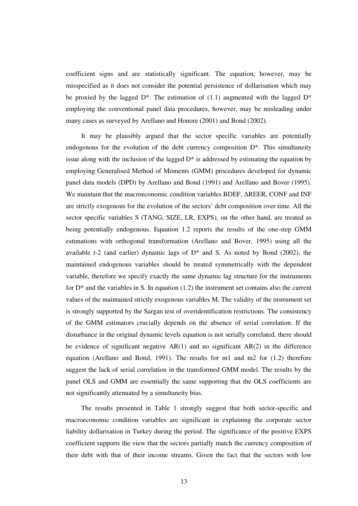coefficient signs and are statistically significant. The equation, however, may be misspecified as it does not consider the potential persistence of dollarisation which may be proxied by the lagged  $D^*$ . The estimation of (1.1) augmented with the lagged  $D^*$ employing the conventional panel data procedures, however, may be misleading under many cases as surveyed by Arellano and Honore (2001) and Bond (2002).

It may be plausibly argued that the sector specific variables are potentially endogenous for the evolution of the debt currency composition D\*. This simultaneity issue along with the inclusion of the lagged  $D^*$  is addressed by estimating the equation by employing Generalised Method of Moments (GMM) procedures developed for dynamic panel data models (DPD) by Arellano and Bond (1991) and Arellano and Bover (1995). We maintain that the macroeconomic condition variables BDEF,  $\triangle$ REER, CONF and INF are strictly exogenous for the evolution of the sectors' debt composition over time. All the sector specific variables S (TANG, SIZE, LR, EXPS), on the other hand, are treated as being potentially endogenous. Equation 1.2 reports the results of the one-step GMM estimations with orthogonal transformation (Arellano and Bover, 1995) using all the available t-2 (and earlier) dynamic lags of  $D^*$  and S. As noted by Bond (2002), the maintained endogenous variables should be treated symmetrically with the dependent variable, therefore we specify exactly the same dynamic lag structure for the instruments for  $D^*$  and the variables in S. In equation (1.2) the instrument set contains also the current values of the maintained strictly exogenous variables M. The validity of the instrument set is strongly supported by the Sargan test of overidentification restrictions. The consistency of the GMM estimators crucially depends on the absence of serial correlation. If the disturbance in the original dynamic levels equation is not serially correlated, there should be evidence of significant negative  $AR(1)$  and no significant  $AR(2)$  in the difference equation (Arellano and Bond, 1991). The results for m1 and m2 for (1.2) therefore suggest the lack of serial correlation in the transformed GMM model. The results by the panel OLS and GMM are essentially the same supporting that the OLS coefficients are not significantly attenuated by a simultaneity bias.

The results presented in Table 1 strongly suggest that both sector-specific and macroeconomic condition variables are significant in explaining the corporate sector liability dollarisation in Turkey during the period. The significance of the positive EXPS coefficient supports the view that the sectors partially match the currency composition of their debt with that of their income streams. Given the fact that the sectors with low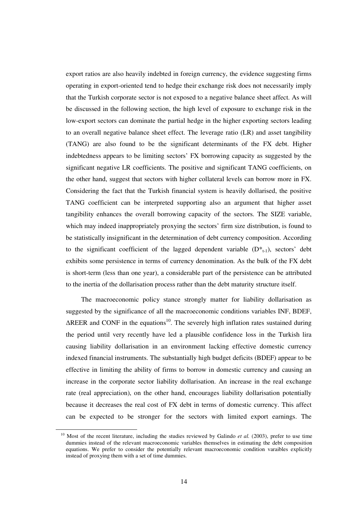export ratios are also heavily indebted in foreign currency, the evidence suggesting firms operating in export-oriented tend to hedge their exchange risk does not necessarily imply that the Turkish corporate sector is not exposed to a negative balance sheet affect. As will be discussed in the following section, the high level of exposure to exchange risk in the low-export sectors can dominate the partial hedge in the higher exporting sectors leading to an overall negative balance sheet effect. The leverage ratio (LR) and asset tangibility (TANG) are also found to be the significant determinants of the FX debt. Higher indebtedness appears to be limiting sectors' FX borrowing capacity as suggested by the significant negative LR coefficients. The positive and significant TANG coefficients, on the other hand, suggest that sectors with higher collateral levels can borrow more in FX. Considering the fact that the Turkish financial system is heavily dollarised, the positive TANG coefficient can be interpreted supporting also an argument that higher asset tangibility enhances the overall borrowing capacity of the sectors. The SIZE variable, which may indeed inappropriately proxying the sectors' firm size distribution, is found to be statistically insignificant in the determination of debt currency composition. According to the significant coefficient of the lagged dependent variable  $(D^*_{t-1})$ , sectors' debt exhibits some persistence in terms of currency denomination. As the bulk of the FX debt is short-term (less than one year), a considerable part of the persistence can be attributed to the inertia of the dollarisation process rather than the debt maturity structure itself.

The macroeconomic policy stance strongly matter for liability dollarisation as suggested by the significance of all the macroeconomic conditions variables INF, BDEF,  $\triangle$ REER and CONF in the equations<sup>10</sup>. The severely high inflation rates sustained during the period until very recently have led a plausible confidence loss in the Turkish lira causing liability dollarisation in an environment lacking effective domestic currency indexed financial instruments. The substantially high budget deficits (BDEF) appear to be effective in limiting the ability of firms to borrow in domestic currency and causing an increase in the corporate sector liability dollarisation. An increase in the real exchange rate (real appreciation), on the other hand, encourages liability dollarisation potentially because it decreases the real cost of FX debt in terms of domestic currency. This affect can be expected to be stronger for the sectors with limited export earnings. The

<sup>&</sup>lt;sup>10</sup> Most of the recent literature, including the studies reviewed by Galindo *et al.* (2003), prefer to use time dummies instead of the relevant macroeconomic variables themselves in estimating the debt composition equations. We prefer to consider the potentially relevant macroeconomic condition varaibles explicitly instead of proxying them with a set of time dummies.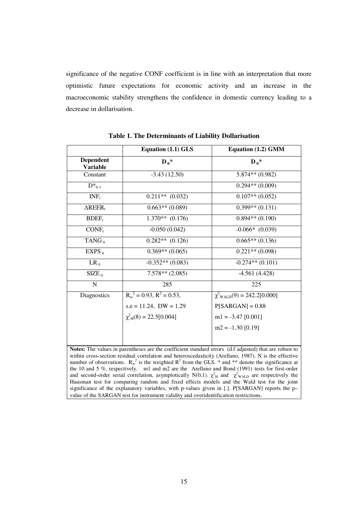significance of the negative CONF coefficient is in line with an interpretation that more optimistic future expectations for economic activity and an increase in the macroeconomic stability strengthens the confidence in domestic currency leading to a decrease in dollarisation.

|                                     | Equation (1.1) GLS                | Equation (1.2) GMM              |  |
|-------------------------------------|-----------------------------------|---------------------------------|--|
| <b>Dependent</b><br><b>Variable</b> | $\mathbf{D}_{it}^*$               | $\mathbf{D}_{\mathbf{H}}^*$     |  |
| Constant                            | $-3.43(12.50)$                    | $5.874**$ (0.982)               |  |
| $D^*_{it-1}$                        |                                   | $0.294**$ (0.009)               |  |
| INF <sub>t</sub>                    | $0.211**$ (0.032)                 | $0.107**$ (0.052)               |  |
| $\Delta$ REER <sub>t</sub>          | $0.663**$ (0.089)                 | $0.399**$ $(0.131)$             |  |
| $BDEF_1$                            | $1.370**$ (0.176)                 | $0.894**$ (0.190)               |  |
| $CONF_t$                            | $-0.050(0.042)$                   | $-0.066*$ $(0.039)$             |  |
| TANG <sub>ir</sub>                  | $0.282**$ $(0.126)$               | $0.665**$ (0.136)               |  |
| $EXPS_{it}$                         | $0.369**$ (0.065)                 | $0.221**$ (0.098)               |  |
| $LR_{it}$                           | $-0.352**$ (0.083)                | $-0.274**$ (0.101)              |  |
| $SIZE_{it}$                         | $7.578**$ (2.085)                 | $-4.561(4.428)$                 |  |
| ${\bf N}$                           | 285                               | 225                             |  |
| <b>Diagnostics</b>                  | $R_w^2$ = 0.93, $R^2$ = 0.53,     | $\chi^2$ WALD(9) = 242.2[0.000] |  |
|                                     | $s.e = 11.24$ , $DW = 1.29$       | $P[SARGAN] = 0.88$              |  |
|                                     | $\chi^2_{\rm H}(8) = 22.5[0.004]$ | $ml = -3.47$ [0.001]            |  |
|                                     |                                   | $m2 = -1.30$ [0.19]             |  |
|                                     |                                   |                                 |  |

**Table 1. The Determinants of Liability Dollarisation**

**Notes:** The values in parentheses are the coefficient standard errors (d.f adjusted) that are robust to within cross-section residual correlation and heteroscedasticity (Arellano, 1987). N is the effective number of observations.  $R_w^2$  is the weighted  $R^2$  from the GLS. \* and \*\* denote the significance at the 10 and 5 %, respectively. m1 and m2 are the Arellano and Bond (1991) tests for first-order and second-order serial correlation, asymptotically N(0,1).  $\chi^2$ <sub>H</sub> and  $\chi^2$ <sub>WALD</sub> are respectively the Hausman test for comparing random and fixed effects models and the Wald test for the joint significance of the explanatory variables, with p-values given in [.]. P[SARGAN] reports the p– value of the SARGAN test for instrument validity and overidentification restrictions.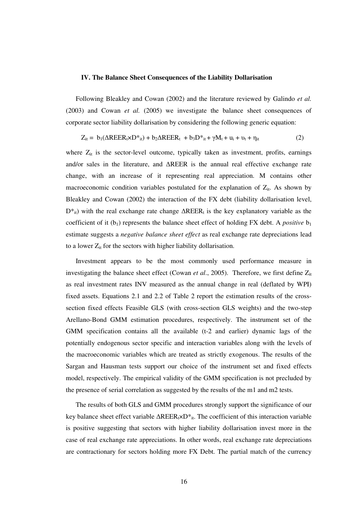#### **IV. The Balance Sheet Consequences of the Liability Dollarisation**

Following Bleakley and Cowan (2002) and the literature reviewed by Galindo *et al.* (2003) and Cowan *et al.* (2005) we investigate the balance sheet consequences of corporate sector liability dollarisation by considering the following generic equation:

$$
Z_{it} = b_1(\Delta R EER_t \times D^*_{it}) + b_2\Delta R EER_t + b_3D^*_{it} + \gamma M_t + u_i + v_t + \eta_{it}
$$
 (2)

where  $Z_{it}$  is the sector-level outcome, typically taken as investment, profits, earnings and/or sales in the literature, and  $\triangle$ REER is the annual real effective exchange rate change, with an increase of it representing real appreciation. M contains other macroeconomic condition variables postulated for the explanation of  $Z_{it}$ . As shown by Bleakley and Cowan (2002) the interaction of the FX debt (liability dollarisation level,  $D^*_{it}$  with the real exchange rate change  $\Delta REER_t$  is the key explanatory variable as the coefficient of it  $(b_1)$  represents the balance sheet effect of holding FX debt. A *positive*  $b_1$ estimate suggests a *negative balance sheet effect* as real exchange rate depreciations lead to a lower  $Z_{it}$  for the sectors with higher liability dollarisation.

Investment appears to be the most commonly used performance measure in investigating the balance sheet effect (Cowan *et al.*, 2005). Therefore, we first define  $Z_{it}$ as real investment rates INV measured as the annual change in real (deflated by WPI) fixed assets. Equations 2.1 and 2.2 of Table 2 report the estimation results of the crosssection fixed effects Feasible GLS (with cross-section GLS weights) and the two-step Arellano-Bond GMM estimation procedures, respectively. The instrument set of the GMM specification contains all the available (t-2 and earlier) dynamic lags of the potentially endogenous sector specific and interaction variables along with the levels of the macroeconomic variables which are treated as strictly exogenous. The results of the Sargan and Hausman tests support our choice of the instrument set and fixed effects model, respectively. The empirical validity of the GMM specification is not precluded by the presence of serial correlation as suggested by the results of the m1 and m2 tests.

The results of both GLS and GMM procedures strongly support the significance of our key balance sheet effect variable  $\Delta \text{REER}_t \times D^*{}_{it}$ . The coefficient of this interaction variable is positive suggesting that sectors with higher liability dollarisation invest more in the case of real exchange rate appreciations. In other words, real exchange rate depreciations are contractionary for sectors holding more FX Debt. The partial match of the currency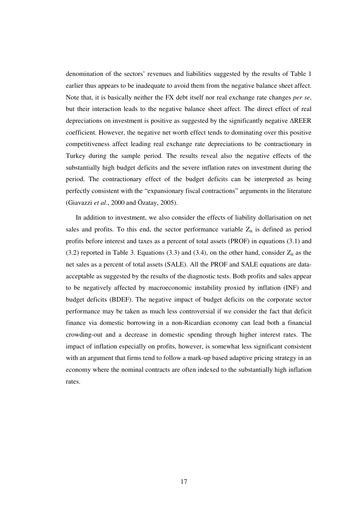denomination of the sectors' revenues and liabilities suggested by the results of Table 1 earlier thus appears to be inadequate to avoid them from the negative balance sheet affect. Note that, it is basically neither the FX debt itself nor real exchange rate changes *per se*, but their interaction leads to the negative balance sheet affect. The direct effect of real depreciations on investment is positive as suggested by the significantly negative  $\triangle$ REER coefficient. However, the negative net worth effect tends to dominating over this positive competitiveness affect leading real exchange rate depreciations to be contractionary in Turkey during the sample period. The results reveal also the negative effects of the substantially high budget deficits and the severe inflation rates on investment during the period. The contractionary effect of the budget deficits can be interpreted as being perfectly consistent with the "expansionary fiscal contractions" arguments in the literature (Giavazzi *et al*., 2000 and Özatay, 2005).

In addition to investment, we also consider the effects of liability dollarisation on net sales and profits. To this end, the sector performance variable  $Z_{it}$  is defined as period profits before interest and taxes as a percent of total assets (PROF) in equations (3.1) and (3.2) reported in Table 3. Equations (3.3) and (3.4), on the other hand, consider  $Z_{it}$  as the net sales as a percent of total assets (SALE). All the PROF and SALE equations are dataacceptable as suggested by the results of the diagnostic tests. Both profits and sales appear to be negatively affected by macroeconomic instability proxied by inflation (INF) and budget deficits (BDEF). The negative impact of budget deficits on the corporate sector performance may be taken as much less controversial if we consider the fact that deficit finance via domestic borrowing in a non-Ricardian economy can lead both a financial crowding-out and a decrease in domestic spending through higher interest rates. The impact of inflation especially on profits, however, is somewhat less significant consistent with an argument that firms tend to follow a mark-up based adaptive pricing strategy in an economy where the nominal contracts are often indexed to the substantially high inflation rates.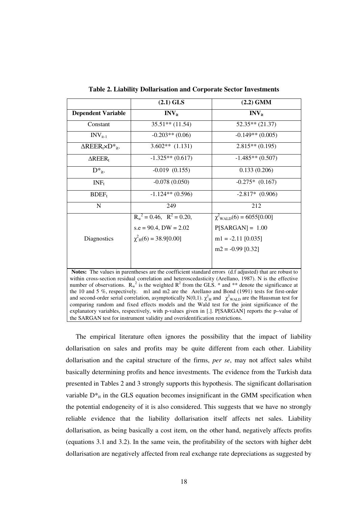|                                                   | $(2.1)$ GLS                      | $(2.2)$ GMM                            |  |
|---------------------------------------------------|----------------------------------|----------------------------------------|--|
| <b>Dependent Variable</b>                         | $\mathbf{INV}_{it}$              | $INV_{it}$                             |  |
| Constant                                          | $35.51**$ (11.54)                | $52.35**$ (21.37)                      |  |
| $\rm{INV}_{it-1}$                                 | $-0.203**$ (0.06)                | $-0.149**$ (0.005)                     |  |
| $\Delta \text{REER}_t \times D^*$ <sub>it</sub> . | $3.602**$ (1.131)                | $2.815**$ (0.195)                      |  |
| $\Delta$ REER <sub>t</sub>                        | $-1.325**$ (0.617)               | $-1.485**$ (0.507)                     |  |
| $D^*_{it}$                                        | $-0.019$ $(0.155)$               | 0.133(0.206)                           |  |
| $INF_t$                                           | $-0.078(0.050)$                  | $-0.275*(0.167)$                       |  |
| $BDEF_1$                                          | $-1.124**$ (0.596)               | $-2.817*$ (0.906)                      |  |
| N                                                 | 249                              | 212                                    |  |
|                                                   | $R_w^2 = 0.46$ , $R^2 = 0.20$ ,  | $\chi^2_{\text{WALD}}(6) = 6055[0.00]$ |  |
|                                                   | $s.e = 90.4$ , $DW = 2.02$       | $P[SARGAN] = 1.00$                     |  |
| Diagnostics                                       | $\chi^2_{\rm H}(6) = 38.9[0.00]$ | $m1 = -2.11$ [0.035]                   |  |
|                                                   |                                  | $m2 = -0.99$ [0.32]                    |  |
|                                                   |                                  |                                        |  |

**Table 2. Liability Dollarisation and Corporate Sector Investments**

**Notes:** The values in parentheses are the coefficient standard errors (d.f adjusted) that are robust to within cross-section residual correlation and heteroscedasticity (Arellano, 1987). N is the effective number of observations.  $R_w^2$  is the weighted  $R^2$  from the GLS. \* and \*\* denote the significance at the 10 and 5 %, respectively. m1 and m2 are the Arellano and Bond (1991) tests for first-order and second-order serial correlation, asymptotically N(0,1).  $\chi^2$ <sub>H</sub> and  $\chi^2$ <sub>WALD</sub> are the Hausman test for comparing random and fixed effects models and the Wald test for the joint significance of the explanatory variables, respectively, with p-values given in [.]. P[SARGAN] reports the p–value of the SARGAN test for instrument validity and overidentification restrictions.

The empirical literature often ignores the possibility that the impact of liability dollarisation on sales and profits may be quite different from each other. Liability dollarisation and the capital structure of the firms, *per se*, may not affect sales whilst basically determining profits and hence investments. The evidence from the Turkish data presented in Tables 2 and 3 strongly supports this hypothesis. The significant dollarisation variable  $D^*_{it}$  in the GLS equation becomes insignificant in the GMM specification when the potential endogeneity of it is also considered. This suggests that we have no strongly reliable evidence that the liability dollarisation itself affects net sales. Liability dollarisation, as being basically a cost item, on the other hand, negatively affects profits (equations 3.1 and 3.2). In the same vein, the profitability of the sectors with higher debt dollarisation are negatively affected from real exchange rate depreciations as suggested by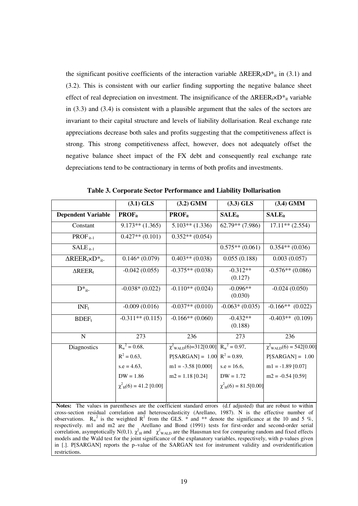the significant positive coefficients of the interaction variable  $\Delta \text{REER}_t \times D^*$ <sub>it</sub> in (3.1) and (3.2). This is consistent with our earlier finding supporting the negative balance sheet effect of real depreciation on investment. The insignificance of the  $\Delta RER_1\times D*_{it}$  variable in (3.3) and (3.4) is consistent with a plausible argument that the sales of the sectors are invariant to their capital structure and levels of liability dollarisation. Real exchange rate appreciations decrease both sales and profits suggesting that the competitiveness affect is strong. This strong competitiveness affect, however, does not adequately offset the negative balance sheet impact of the FX debt and consequently real exchange rate depreciations tend to be contractionary in terms of both profits and investments.

|                                           | $(3.1)$ GLS                             | $(3.2)$ GMM                                            | $(3.3)$ GLS                            | $(3.4)$ GMM                           |
|-------------------------------------------|-----------------------------------------|--------------------------------------------------------|----------------------------------------|---------------------------------------|
| <b>Dependent Variable</b>                 | $PROF_{it}$                             | $PROF_{it}$                                            | $SALE_{it}$                            | $SALE_{it}$                           |
| Constant                                  | $9.173**$ (1.365)                       | $5.103**$ (1.336)                                      | $62.79**$ (7.986)                      | $\overline{17.11}$ ** (2.554)         |
| $PROF_{it-1}$                             | $0.427**$ $(0.101)$                     | $0.352**$ (0.054)                                      |                                        |                                       |
| $SALEit-1$                                |                                         |                                                        | $0.575**$ (0.061)                      | $0.354**$ (0.036)                     |
| $\Delta \text{REER}_t \times D^*{}_{it}.$ | $0.146*(0.079)$                         | $0.403**$ (0.038)                                      | 0.055(0.188)                           | 0.003(0.057)                          |
| $\Delta$ REER <sub>t</sub>                | $-0.042(0.055)$                         | $-0.375**$ (0.038)                                     | $-0.312**$<br>(0.127)                  | $-0.576**$ (0.086)                    |
| $D^*_{it}$ .                              | $-0.038*(0.022)$                        | $-0.110**$ (0.024)                                     | $-0.096**$<br>(0.030)                  | $-0.024(0.050)$                       |
| $INF_t$                                   | $-0.009(0.016)$                         | $-0.037**$ (0.010)                                     | $-0.063*(0.035)$                       | $-0.166**$ (0.022)                    |
| $BDEF_t$                                  | $-0.311**$ (0.115)                      | $-0.166**$ (0.060)                                     | $-0.432**$<br>(0.188)                  | $-0.403**$ (0.109)                    |
| $\mathbf N$                               | 273                                     | 236                                                    | 273                                    | 236                                   |
| Diagnostics                               | $R_w^2 = 0.68$ ,                        | $\chi^2$ <sub>WALD</sub> (6)=312[0.00] $R_w^2$ = 0.97, |                                        | $\chi^2_{\text{WALD}}(6) = 542[0.00]$ |
|                                           | $R^2 = 0.63$ ,                          | $P[SARGAN] = 1.00 \text{ R}^2 = 0.89,$                 |                                        | $P[SARGAN] = 1.00$                    |
|                                           | $s.e = 4.63$ ,                          | $m1 = -3.58$ [0.000]                                   | $s.e = 16.6$ ,                         | $m1 = -1.89$ [0.07]                   |
|                                           | $DW = 1.86$                             | $m2 = 1.18$ [0.24]                                     | $DW = 1.72$                            | $m2 = -0.54$ [0.59]                   |
|                                           | $\chi^2$ <sub>H</sub> (6) = 41.2 [0.00] |                                                        | $\chi^2$ <sub>H</sub> (6) = 81.5[0.00] |                                       |

**Table 3. Corporate Sector Performance and Liability Dollarisation**

**Notes:** The values in parentheses are the coefficient standard errors (d.f adjusted) that are robust to within cross-section residual correlation and heteroscedasticity (Arellano, 1987). N is the effective number of observations.  $R_w^2$  is the weighted  $R^2$  from the GLS.  $*$  and  $**$  denote the significance at the 10 and 5 %, respectively. m1 and m2 are the Arellano and Bond (1991) tests for first-order and second-order serial correlation, asymptotically N(0,1).  $\chi^2$ <sub>H</sub> and  $\chi^2$ <sub>WALD</sub> are the Hausman test for comparing random and fixed effects models and the Wald test for the joint significance of the explanatory variables, respectively, with p-values given in [.]. P[SARGAN] reports the p–value of the SARGAN test for instrument validity and overidentification restrictions.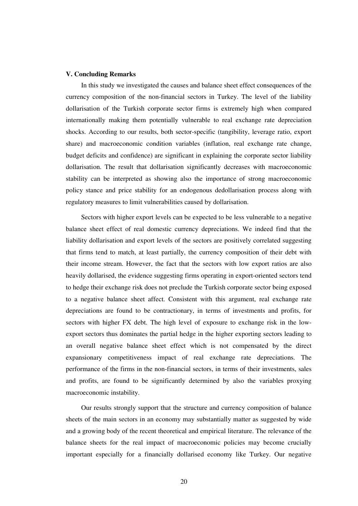### **V. Concluding Remarks**

In this study we investigated the causes and balance sheet effect consequences of the currency composition of the non-financial sectors in Turkey. The level of the liability dollarisation of the Turkish corporate sector firms is extremely high when compared internationally making them potentially vulnerable to real exchange rate depreciation shocks. According to our results, both sector-specific (tangibility, leverage ratio, export share) and macroeconomic condition variables (inflation, real exchange rate change, budget deficits and confidence) are significant in explaining the corporate sector liability dollarisation. The result that dollarisation significantly decreases with macroeconomic stability can be interpreted as showing also the importance of strong macroeconomic policy stance and price stability for an endogenous dedollarisation process along with regulatory measures to limit vulnerabilities caused by dollarisation.

Sectors with higher export levels can be expected to be less vulnerable to a negative balance sheet effect of real domestic currency depreciations. We indeed find that the liability dollarisation and export levels of the sectors are positively correlated suggesting that firms tend to match, at least partially, the currency composition of their debt with their income stream. However, the fact that the sectors with low export ratios are also heavily dollarised, the evidence suggesting firms operating in export-oriented sectors tend to hedge their exchange risk does not preclude the Turkish corporate sector being exposed to a negative balance sheet affect. Consistent with this argument, real exchange rate depreciations are found to be contractionary, in terms of investments and profits, for sectors with higher FX debt. The high level of exposure to exchange risk in the lowexport sectors thus dominates the partial hedge in the higher exporting sectors leading to an overall negative balance sheet effect which is not compensated by the direct expansionary competitiveness impact of real exchange rate depreciations. The performance of the firms in the non-financial sectors, in terms of their investments, sales and profits, are found to be significantly determined by also the variables proxying macroeconomic instability.

Our results strongly support that the structure and currency composition of balance sheets of the main sectors in an economy may substantially matter as suggested by wide and a growing body of the recent theoretical and empirical literature. The relevance of the balance sheets for the real impact of macroeconomic policies may become crucially important especially for a financially dollarised economy like Turkey. Our negative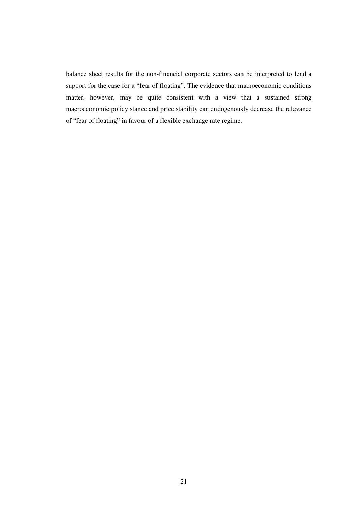balance sheet results for the non-financial corporate sectors can be interpreted to lend a support for the case for a "fear of floating". The evidence that macroeconomic conditions matter, however, may be quite consistent with a view that a sustained strong macroeconomic policy stance and price stability can endogenously decrease the relevance of "fear of floating" in favour of a flexible exchange rate regime.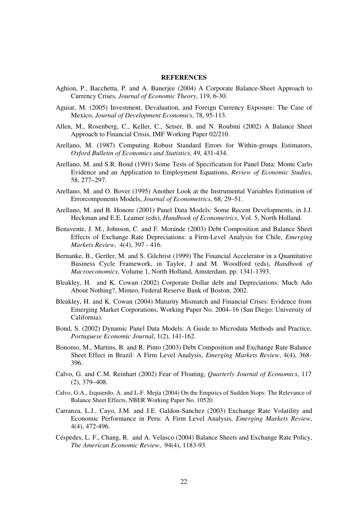#### **REFERENCES**

- Aghion, P., Bacchetta, P. and A. Banerjee (2004) A Corporate Balance-Sheet Approach to Currency Crises, *Journal of Economic Theory*, 119, 6-30.
- Aguiar, M. (2005) Investment, Devaluation, and Foreign Currency Exposure: The Case of Mexico, *Journal of Development Economics*, 78, 95-113.
- Allen, M., Rosenberg, C., Keller, C., Setser, B. and N. Roubini (2002) A Balance Sheet Approach to Financial Crisis, IMF Working Paper 02/210.
- Arellano, M. (1987) Computing Robust Standard Errors for Within-groups Estimators, *Oxford Bulletin of Economics and Statistics*, 49, 431-434.
- Arellano, M. and S.R. Bond (1991) Some Tests of Specification for Panel Data: Monte Carlo Evidence and an Application to Employment Equations, *Review of Economic Studies*, 58, 277–297.
- Arellano, M. and O. Bover (1995) Another Look at the Instrumental Variables Estimation of Errorcomponents Models, *Journal of Econometrics*, 68, 29–51.
- Arellano, M. and B. Honore (2001) Panel Data Models: Some Recent Developments, in J.J. Heckman and E.E. Leamer (eds), *Handbook of Econometrics*, Vol. 5, North Holland.
- Benavente, J. M., Johnson, C. and F. Moránde (2003) Debt Composition and Balance Sheet Effects of Exchange Rate Depreciations: a Firm-Level Analysis for Chile, *Emerging Markets Review*, 4(4), 397 - 416.
- Bernanke, B., Gertler, M. and S. Gilchrist (1999) The Financial Accelerator in a Quantitative Business Cycle Framework, in Taylor, J and M. Woodford (eds), *Handbook of Macroeconomics*, Volume 1, North Holland, Amsterdam. pp. 1341-1393.
- Bleakley, H. and K. Cowan (2002) Corporate Dollar debt and Depreciations: Much Ado About Nothing?, Mimeo, Federal Reserve Bank of Boston, 2002.
- Bleakley, H. and K. Cowan (2004) Maturity Mismatch and Financial Crises: Evidence from Emerging Market Corporations, Working Paper No. 2004–16 (San Diego: University of California).
- Bond, S. (2002) Dynamic Panel Data Models: A Guide to Microdata Methods and Practice, *Portuguese Economic Journal*, 1(2), 141-162.
- Bonomo, M., Martins, B. and R. Pinto (2003) Debt Composition and Exchange Rate Balance Sheet Effect in Brazil: A Firm Level Analysis, *Emerging Markets Review*, 4(4), 368- 396.
- Calvo, G. and C.M. Reinhart (2002) Fear of Floating, *Quarterly Journal of Economics*, 117 (2), 379–408.
- Calvo, G:A., Izquierdo, A. and L-F. Mejía (2004) On the Empirics of Sudden Stops: The Relevance of Balance Sheet Effects, NBER Working Paper No. 10520
- Carranza, L.J., Cayo, J.M. and J.E. Galdon-Sanchez (2003) Exchange Rate Volatility and Economic Performance in Peru: A Firm Level Analysis, *Emerging Markets Review*, 4(4), 472-496.
- Céspedes, L. F., Chang, R. and A. Velasco (2004) Balance Sheets and Exchange Rate Policy, *The American Economic Review*, 94(4), 1183-93.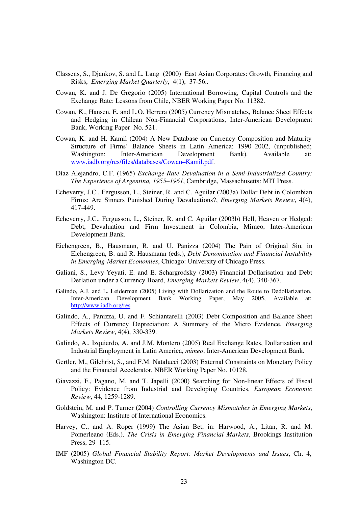- Classens, S., Djankov, S. and L. Lang (2000) East Asian Corporates: Growth, Financing and Risks, *Emerging Market Quarterly*, 4(1), 37-56..
- Cowan, K. and J. De Gregorio (2005) International Borrowing, Capital Controls and the Exchange Rate: Lessons from Chile, NBER Working Paper No. 11382.
- Cowan, K., Hansen, E. and L.O. Herrera (2005) Currency Mismatches, Balance Sheet Effects and Hedging in Chilean Non-Financial Corporations, Inter-American Development Bank, Working Paper No. 521.
- Cowan, K. and H. Kamil (2004) A New Database on Currency Composition and Maturity Structure of Firms' Balance Sheets in Latin America: 1990–2002, (unpublished; Washington: Inter-American Development Bank). Available at: www.iadb.org/res/files/databases/Cowan–Kamil.pdf.
- Díaz Alejandro, C.F. (1965) *Exchange-Rate Devaluation in a Semi-Industrialized Country: The Experience of Argentina, 1955–1961*, Cambridge, Massachusetts: MIT Press.
- Echeverry, J.C., Fergusson, L., Steiner, R. and C. Aguilar (2003a) Dollar Debt in Colombian Firms: Are Sinners Punished During Devaluations?, *Emerging Markets Review*, 4(4), 417-449.
- Echeverry, J.C., Fergusson, L., Steiner, R. and C. Aguilar (2003b) Hell, Heaven or Hedged: Debt, Devaluation and Firm Investment in Colombia, Mimeo, Inter-American Development Bank.
- Eichengreen, B., Hausmann, R. and U. Panizza (2004) The Pain of Original Sin, in Eichengreen, B. and R. Hausmann (eds.), *Debt Denomination and Financial Instability in Emerging-Market Economies*, Chicago: University of Chicago Press.
- Galiani, S., Levy-Yeyati, E. and E. Schargrodsky (2003) Financial Dollarisation and Debt Deflation under a Currency Board, *Emerging Markets Review*, 4(4), 340-367.
- Galindo, A.J. and L. Leiderman (2005) Living with Dollarization and the Route to Dedollarization, Inter-American Development Bank Working Paper, May 2005, Available at: http://www.iadb.org/res
- Galindo, A., Panizza, U. and F. Schiantarelli (2003) Debt Composition and Balance Sheet Effects of Currency Depreciation: A Summary of the Micro Evidence, *Emerging Markets Review*, 4(4), 330-339.
- Galindo, A., Izquierdo, A. and J.M. Montero (2005) Real Exchange Rates, Dollarisation and Industrial Employment in Latin America, *mimeo*, Inter-American Development Bank.
- Gertler, M., Gilchrist, S., and F.M. Natalucci (2003) External Constraints on Monetary Policy and the Financial Accelerator, NBER Working Paper No. 10128.
- Giavazzi, F., Pagano, M. and T. Japelli (2000) Searching for Non-linear Effects of Fiscal Policy: Evidence from Industrial and Developing Countries, *European Economic Review*, 44, 1259-1289.
- Goldstein, M. and P. Turner (2004) *Controlling Currency Mismatches in Emerging Markets*, Washington: Institute of International Economics.
- Harvey, C., and A. Roper (1999) The Asian Bet, in: Harwood, A., Litan, R. and M. Pomerleano (Eds.), *The Crisis in Emerging Financial Markets*, Brookings Institution Press, 29–115.
- IMF (2005) *Global Financial Stability Report: Market Developments and Issues*, Ch. 4, Washington DC.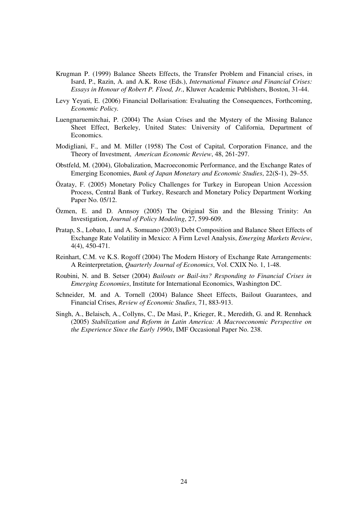- Krugman P. (1999) Balance Sheets Effects, the Transfer Problem and Financial crises, in Isard, P., Razin, A. and A.K. Rose (Eds.), *International Finance and Financial Crises: Essays in Honour of Robert P. Flood, Jr.*, Kluwer Academic Publishers, Boston, 31-44.
- Levy Yeyati, E. (2006) Financial Dollarisation: Evaluating the Consequences, Forthcoming, *Economic Policy.*
- Luengnaruemitchai, P. (2004) The Asian Crises and the Mystery of the Missing Balance Sheet Effect, Berkeley, United States: University of California, Department of Economics.
- Modigliani, F., and M. Miller (1958) The Cost of Capital, Corporation Finance, and the Theory of Investment, *American Economic Review*, 48, 261-297.
- Obstfeld, M. (2004), Globalization, Macroeconomic Performance, and the Exchange Rates of Emerging Economies, *Bank of Japan Monetary and Economic Studies*, 22(S-1), 29–55.
- Özatay, F. (2005) Monetary Policy Challenges for Turkey in European Union Accession Process, Central Bank of Turkey, Research and Monetary Policy Department Working Paper No. 05/12.
- Özmen, E. and D. Arınsoy (2005) The Original Sin and the Blessing Trinity: An Investigation, *Journal of Policy Modeling*, 27, 599-609.
- Pratap, S., Lobato, I. and A. Somuano (2003) Debt Composition and Balance Sheet Effects of Exchange Rate Volatility in Mexico: A Firm Level Analysis, *Emerging Markets Review*, 4(4), 450-471.
- Reinhart, C.M. ve K.S. Rogoff (2004) The Modern History of Exchange Rate Arrangements: A Reinterpretation, *Quarterly Journal of Economics*, Vol. CXIX No. 1, 1-48.
- Roubini, N. and B. Setser (2004) *Bailouts or Bail-ins? Responding to Financial Crises in Emerging Economies*, Institute for International Economics, Washington DC.
- Schneider, M. and A. Tornell (2004) Balance Sheet Effects, Bailout Guarantees, and Financial Crises, *Review of Economic Studies*, 71, 883-913.
- Singh, A., Belaisch, A., Collyns, C., De Masi, P., Krieger, R., Meredith, G. and R. Rennhack (2005) *Stabilization and Reform in Latin America: A Macroeconomic Perspective on the Experience Since the Early 1990s*, IMF Occasional Paper No. 238.